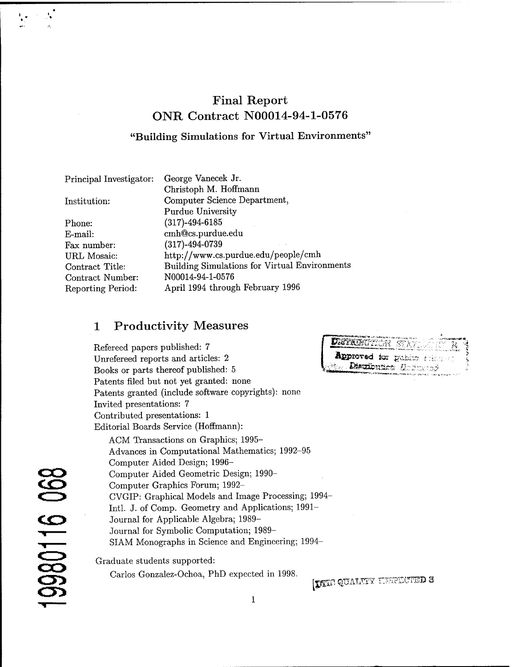# Final Report ONR Contract N00014-94-1-0576

#### **"Building Simulations for Virtual Environments'**

| George Vanecek Jr.                                   |
|------------------------------------------------------|
| Christoph M. Hoffmann                                |
| Computer Science Department,                         |
| <b>Purdue University</b>                             |
| $(317) - 494 - 6185$                                 |
| cmh@cs.purdue.edu                                    |
| $(317) - 494 - 0739$                                 |
| http://www.cs.purdue.edu/people/cmh                  |
| <b>Building Simulations for Virtual Environments</b> |
| N00014-94-1-0576                                     |
| April 1994 through February 1996                     |
|                                                      |

## <sup>1</sup> Productivity Measures

Refereed papers published: 7 Unrefereed reports and articles: 2 Books or parts thereof published: 5 Patents filed but not yet granted: none Patents granted (include software copyrights): none Invited presentations: 7 Contributed presentations: <sup>1</sup> Editorial Boards Service (Hoffmann):

ACM Transactions on Graphics; 1995- Advances in Computational Mathematics; 1992-95 Computer Aided Design; 1996- Computer Aided Geometric Design; 1990- Computer Graphics Forum; 1992- CVGIP: Graphical Models and Image Processing; 1994 Intl. J. of Comp. Geometry and Applications; 1991- Journal for Applicable Algebra; 1989- Journal for Symbolic Computation; 1989- SIAM Monographs in Science and Engineering; 1994- Graduate students supported:

Carlos Gonzalez-Ochoa, PhD expected in 1998.

Approved for public rise Disulbution Hallmand

[DITE QUALITY LISPECTED 3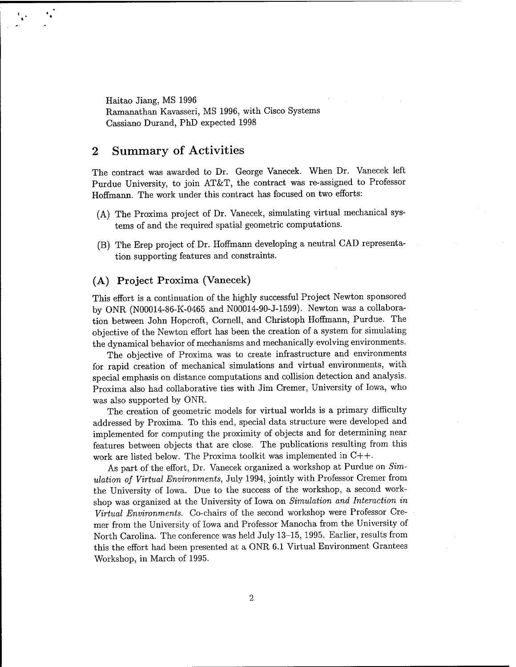Haitao Jiang, MS 1996 Ramanathan Kavasseri, MS 1996, with Cisco Systems Cassiano Durand, PhD expected 1998

## 2 Summary of Activities

The contract was awarded to Dr. George Vanecek. When Dr. Vanecek left Purdue University, to join AT&T, the contract was re-assigned to Professor Hoffmann. The work under this contract has focused on two efforts:

- (A) The Proxima project of Dr. Vanecek, simulating virtual mechanical systems of and the required spatial geometric computations.
- (B) The Erep project of Dr. Hoffmann developing a neutral CAD representation supporting features and constraints.

#### **(A) Project Proxima (Vanecek)**

This effort is a continuation of the highly successful Project Newton sponsored by ONR (N00014-86-K-0465 and N00014-90-J-1599). Newton was a collaboration between John Hopcroft, Cornell, and Christoph Hoffmann, Purdue. The objective of the Newton effort has been the creation of a system for simulating the dynamical behavior of mechanisms and mechanically evolving environments.

The objective of Proxima was to create infrastructure and environments for rapid creation of mechanical simulations and virtual environments, with special emphasis on distance computations and collision detection and analysis. Proxima also had collaborative ties with Jim Cremer, University of Iowa, who was also supported by ONR.

The creation of geometric models for virtual worlds is a primary difficulty addressed by Proxima. To this end, special data structure were developed and implemented for computing the proximity of objects and for determining near features between objects that are close. The publications resulting from this work are listed below. The Proxima toolkit was implemented in C++.

As part of the effort, Dr. Vanecek organized a workshop at Purdue on *Simulation of Virtual Environments,* July 1994, jointly with Professor Cremer from the University of Iowa. Due to the success of the workshop, a second workshop was organized at the University of Iowa on *Simulation and Interaction in Virtual Environments.* Co-chairs of the second workshop were Professor Cremer from the University of Iowa and Professor Manocha from the University of North Carolina. The conference was held July 13-15, 1995. Earlier, results from this the effort had been presented at a ONR 6.1 Virtual Environment Grantees Workshop, in March of 1995.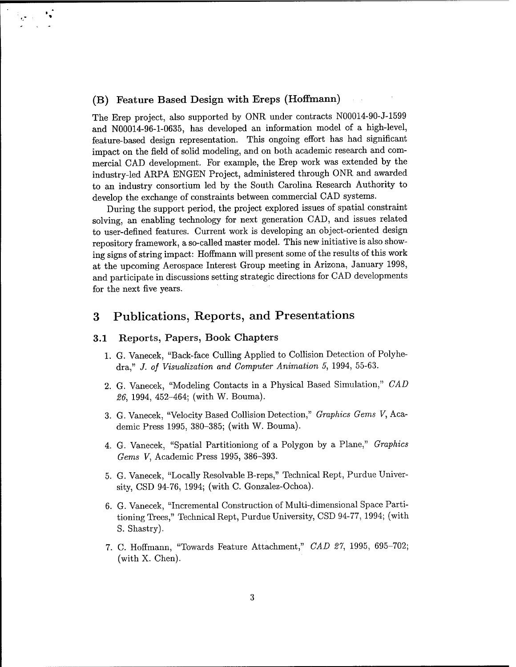#### **(B) Feature Based Design with Ereps (Hoffmann)**

 $\frac{1}{2} \frac{1}{G} \mathbf{e}^{-\frac{1}{2} \mathbf{e}^{-\frac{1}{2} \mathbf{e}^{-\frac{1}{2} \mathbf{e}^{-\frac{1}{2} \mathbf{e}^{-\frac{1}{2} \mathbf{e}^{-\frac{1}{2} \mathbf{e}^{-\frac{1}{2} \mathbf{e}^{-\frac{1}{2} \mathbf{e}^{-\frac{1}{2} \mathbf{e}^{-\frac{1}{2} \mathbf{e}^{-\frac{1}{2} \mathbf{e}^{-\frac{1}{2} \mathbf{e}^{-\frac{1}{2} \mathbf{e}^{-\frac{1}{2} \mathbf{e}^{-\frac{$ 

The Erep project, also supported by ONR under contracts N00014-90-J-1599 and N00014-96-1-0635, has developed an information model of a high-level, feature-based design representation. This ongoing effort has had significant impact on the field of solid modeling, and on both academic research and commercial CAD development. For example, the Erep work was extended by the industry-led ARPA ENGEN Project, administered through ONR and awarded to an industry consortium led by the South Carolina Research Authority to develop the exchange of constraints between commercial CAD systems.

During the support period, the project explored issues of spatial constraint solving, an enabling technology for next generation CAD, and issues related to user-defined features. Current work is developing an object-oriented design repository framework, a so-called master model. This new initiative is also showing signs of string impact: Hoffmann will present some of the results of this work at the upcoming Aerospace Interest Group meeting in Arizona, January 1998, and participate in discussions setting strategic directions for CAD developments for the next five years.

## 3 Publications, Reports, and Presentations

#### **3.1 Reports, Papers, Book Chapters**

- 1. G. Vanecek, "Back-face Culling Applied to Collision Detection of Polyhedra," *J. of Visualization and Computer Animation* 5, 1994, 55-63.
- 2. G. Vanecek, "Modeling Contacts in a Physical Based Simulation," *CAD 26,* 1994, 452-464; (with W. Bouma).
- 3. G. Vanecek, "Velocity Based Collision Detection," *Graphics Gems V,* Academic Press 1995, 380-385; (with W. Bouma).
- 4. G. Vanecek, "Spatial Partitioniong of a Polygon by a Plane," *Graphics Gems V,* Academic Press 1995, 386-393.
- 5. G. Vanecek, "Locally Resolvable B-reps," Technical Rept, Purdue University, CSD 94-76, 1994; (with C. Gonzalez-Ochoa).
- 6. G. Vanecek, "Incremental Construction of Multi-dimensional Space Partitioning Trees," Technical Rept, Purdue University, CSD 94-77, 1994; (with S. Shastry).
- 7. C. Hoffmann, "Towards Feature Attachment," *CAD 21,* 1995, 695-702; (with X. Chen).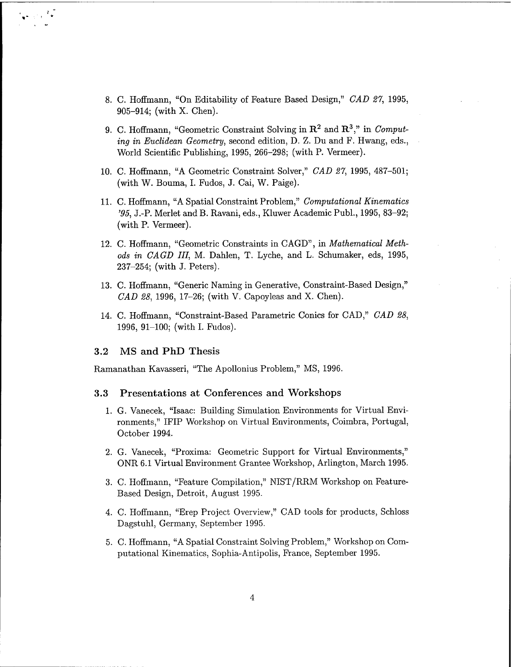- 8. C. Hoffmann, "On Editability of Feature Based Design," *CAD 27,* 1995, 905-914; (with X. Chen).
- 9. C. Hoffmann, "Geometric Constraint Solving in  $\mathbb{R}^2$  and  $\mathbb{R}^3$ ," in *Computing in Euclidean Geometry,* second edition, D. Z. Du and F. Hwang, eds., World Scientific Publishing, 1995, 266-298; (with P. Vermeer).
- 10. C. Hoffmann, "A Geometric Constraint Solver," *CAD 27,* 1995, 487-501; (with W. Bouma, I. Fudos, J. Cai, W. Paige).
- 11. C.Hoffmann, "A Spatial Constraint Problem," *Computational Kinematics '95,* J.-P. Merlet and B. Ravani, eds., Kluwer Academic Publ., 1995, 83-92; (with P. Vermeer).
- 12. C. Hoffmann, "Geometric Constraints in CAGD", in *Mathematical Methods in CAGD III,* M. Dahlen, T. Lyche, and L. Schumaker, eds, 1995, 237-254; (with J. Peters).
- 13. C. Hoffmann, "Generic Naming in Generative, Constraint-Based Design," *CAD 28,* 1996, 17-26; (with V. Capoyleas and X. Chen).
- 14. C. Hoffmann, "Constraint-Based Parametric Conies for CAD," *CAD 28,* 1996, 91-100; (with I. Fudos).

#### **3.2 MS and PhD Thesis**

Ramanathan Kavasseri, "The Apollonius Problem," MS, 1996.

#### **3.3 Presentations at Conferences and Workshops**

- 1. G. Vanecek, "Isaac: Building Simulation Environments for Virtual Environments," IFIP Workshop on Virtual Environments, Coimbra, Portugal, October 1994.
- 2. G. Vanecek, "Proxima: Geometric Support for Virtual Environments," ONR 6.1 Virtual Environment Grantee Workshop, Arlington, March 1995.
- 3. C. Hoffmann, "Feature Compilation," NIST/RRM Workshop on Feature-Based Design, Detroit, August 1995.
- 4. C. Hoffmann, "Erep Project Overview," CAD tools for products, Schloss Dagstuhl, Germany, September 1995.
- 5. C. Hoffmann, "A Spatial Constraint Solving Problem," Workshop on Computational Kinematics, Sophia-Antipolis, France, September 1995.